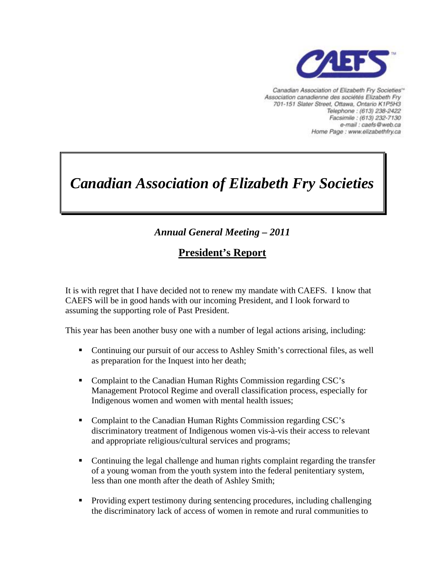

Canadian Association of Elizabeth Fry Societies<sup>®</sup> Association canadienne des sociétés Elizabeth Fry 701-151 Slater Street, Ottawa, Ontario K1P5H3 Telephone: (613) 238-2422 Facsimile : (613) 232-7130 e-mail : caefs@web.ca Home Page : www.elizabethfry.ca

# *Canadian Association of Elizabeth Fry Societies*

## *Annual General Meeting – 2011*

## **President's Report**

It is with regret that I have decided not to renew my mandate with CAEFS. I know that CAEFS will be in good hands with our incoming President, and I look forward to assuming the supporting role of Past President.

This year has been another busy one with a number of legal actions arising, including:

- Continuing our pursuit of our access to Ashley Smith's correctional files, as well as preparation for the Inquest into her death;
- Complaint to the Canadian Human Rights Commission regarding CSC's Management Protocol Regime and overall classification process, especially for Indigenous women and women with mental health issues;
- Complaint to the Canadian Human Rights Commission regarding CSC's discriminatory treatment of Indigenous women vis-à-vis their access to relevant and appropriate religious/cultural services and programs;
- Continuing the legal challenge and human rights complaint regarding the transfer of a young woman from the youth system into the federal penitentiary system, less than one month after the death of Ashley Smith;
- Providing expert testimony during sentencing procedures, including challenging the discriminatory lack of access of women in remote and rural communities to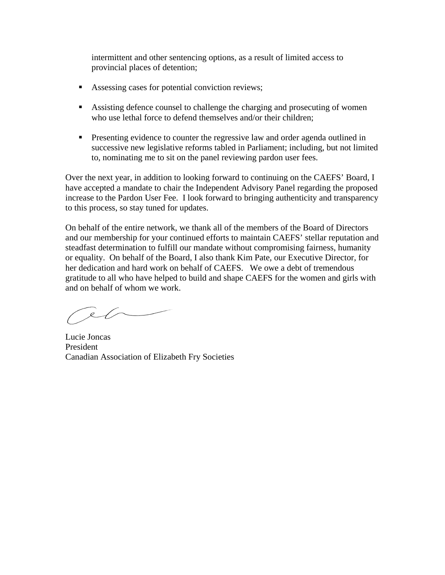intermittent and other sentencing options, as a result of limited access to provincial places of detention;

- Assessing cases for potential conviction reviews;
- Assisting defence counsel to challenge the charging and prosecuting of women who use lethal force to defend themselves and/or their children:
- **Presenting evidence to counter the regressive law and order agenda outlined in** successive new legislative reforms tabled in Parliament; including, but not limited to, nominating me to sit on the panel reviewing pardon user fees.

Over the next year, in addition to looking forward to continuing on the CAEFS' Board, I have accepted a mandate to chair the Independent Advisory Panel regarding the proposed increase to the Pardon User Fee. I look forward to bringing authenticity and transparency to this process, so stay tuned for updates.

On behalf of the entire network, we thank all of the members of the Board of Directors and our membership for your continued efforts to maintain CAEFS' stellar reputation and steadfast determination to fulfill our mandate without compromising fairness, humanity or equality. On behalf of the Board, I also thank Kim Pate, our Executive Director, for her dedication and hard work on behalf of CAEFS. We owe a debt of tremendous gratitude to all who have helped to build and shape CAEFS for the women and girls with and on behalf of whom we work.

 $\sim$ 

Lucie Joncas President Canadian Association of Elizabeth Fry Societies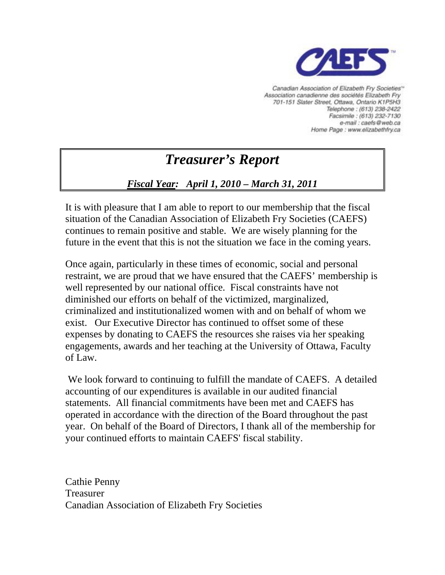

Canadian Association of Elizabeth Fry Societies<sup>®</sup> Association canadienne des sociétés Elizabeth Fry 701-151 Slater Street, Ottawa, Ontario K1P5H3 Telephone: (613) 238-2422 Facsimile : (613) 232-7130 e-mail : caefs@web.ca Home Page : www.elizabethfry.ca

## *Treasurer's Report*

### *Fiscal Year: April 1, 2010 – March 31, 2011*

It is with pleasure that I am able to report to our membership that the fiscal situation of the Canadian Association of Elizabeth Fry Societies (CAEFS) continues to remain positive and stable. We are wisely planning for the future in the event that this is not the situation we face in the coming years.

Once again, particularly in these times of economic, social and personal restraint, we are proud that we have ensured that the CAEFS' membership is well represented by our national office. Fiscal constraints have not diminished our efforts on behalf of the victimized, marginalized, criminalized and institutionalized women with and on behalf of whom we exist. Our Executive Director has continued to offset some of these expenses by donating to CAEFS the resources she raises via her speaking engagements, awards and her teaching at the University of Ottawa, Faculty of Law.

We look forward to continuing to fulfill the mandate of CAEFS. A detailed accounting of our expenditures is available in our audited financial statements. All financial commitments have been met and CAEFS has operated in accordance with the direction of the Board throughout the past year. On behalf of the Board of Directors, I thank all of the membership for your continued efforts to maintain CAEFS' fiscal stability.

Cathie Penny Treasurer Canadian Association of Elizabeth Fry Societies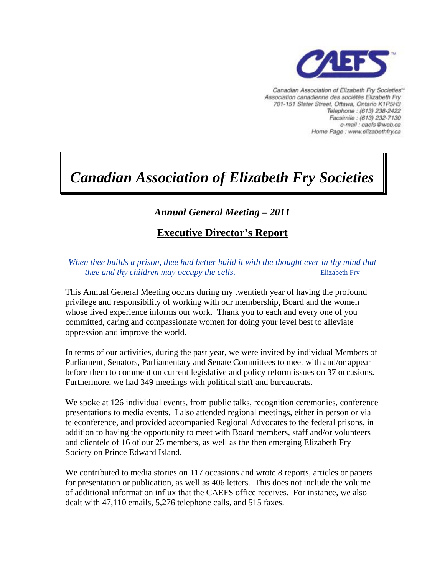

Canadian Association of Elizabeth Fry Societies<sup>®</sup> Association canadienne des sociétés Elizabeth Fry 701-151 Slater Street, Ottawa, Ontario K1P5H3 Telephone: (613) 238-2422 Facsimile : (613) 232-7130 e-mail : caefs@web.ca Home Page : www.elizabethfry.ca

## *Canadian Association of Elizabeth Fry Societies*

### *Annual General Meeting – 2011*

## **Executive Director's Report**

*When thee builds a prison, thee had better build it with the thought ever in thy mind that thee and thy children may occupy the cells.* Elizabeth Fry

This Annual General Meeting occurs during my twentieth year of having the profound privilege and responsibility of working with our membership, Board and the women whose lived experience informs our work. Thank you to each and every one of you committed, caring and compassionate women for doing your level best to alleviate oppression and improve the world.

In terms of our activities, during the past year, we were invited by individual Members of Parliament, Senators, Parliamentary and Senate Committees to meet with and/or appear before them to comment on current legislative and policy reform issues on 37 occasions. Furthermore, we had 349 meetings with political staff and bureaucrats.

We spoke at 126 individual events, from public talks, recognition ceremonies, conference presentations to media events. I also attended regional meetings, either in person or via teleconference, and provided accompanied Regional Advocates to the federal prisons, in addition to having the opportunity to meet with Board members, staff and/or volunteers and clientele of 16 of our 25 members, as well as the then emerging Elizabeth Fry Society on Prince Edward Island.

We contributed to media stories on 117 occasions and wrote 8 reports, articles or papers for presentation or publication, as well as 406 letters. This does not include the volume of additional information influx that the CAEFS office receives. For instance, we also dealt with 47,110 emails, 5,276 telephone calls, and 515 faxes.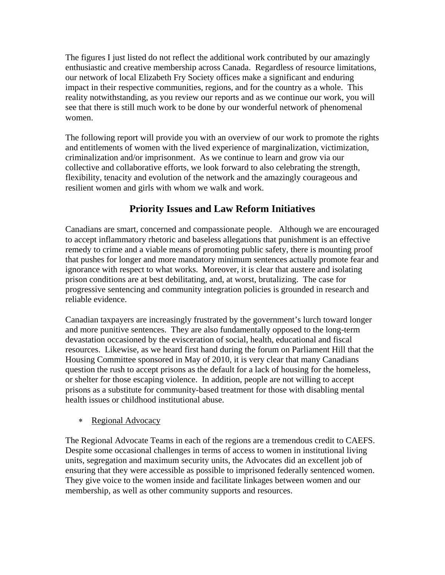The figures I just listed do not reflect the additional work contributed by our amazingly enthusiastic and creative membership across Canada. Regardless of resource limitations, our network of local Elizabeth Fry Society offices make a significant and enduring impact in their respective communities, regions, and for the country as a whole. This reality notwithstanding, as you review our reports and as we continue our work, you will see that there is still much work to be done by our wonderful network of phenomenal women.

The following report will provide you with an overview of our work to promote the rights and entitlements of women with the lived experience of marginalization, victimization, criminalization and/or imprisonment. As we continue to learn and grow via our collective and collaborative efforts, we look forward to also celebrating the strength, flexibility, tenacity and evolution of the network and the amazingly courageous and resilient women and girls with whom we walk and work.

#### **Priority Issues and Law Reform Initiatives**

Canadians are smart, concerned and compassionate people. Although we are encouraged to accept inflammatory rhetoric and baseless allegations that punishment is an effective remedy to crime and a viable means of promoting public safety, there is mounting proof that pushes for longer and more mandatory minimum sentences actually promote fear and ignorance with respect to what works. Moreover, it is clear that austere and isolating prison conditions are at best debilitating, and, at worst, brutalizing. The case for progressive sentencing and community integration policies is grounded in research and reliable evidence.

Canadian taxpayers are increasingly frustrated by the government's lurch toward longer and more punitive sentences. They are also fundamentally opposed to the long-term devastation occasioned by the evisceration of social, health, educational and fiscal resources. Likewise, as we heard first hand during the forum on Parliament Hill that the Housing Committee sponsored in May of 2010, it is very clear that many Canadians question the rush to accept prisons as the default for a lack of housing for the homeless, or shelter for those escaping violence. In addition, people are not willing to accept prisons as a substitute for community-based treatment for those with disabling mental health issues or childhood institutional abuse.

#### ∗ Regional Advocacy

The Regional Advocate Teams in each of the regions are a tremendous credit to CAEFS. Despite some occasional challenges in terms of access to women in institutional living units, segregation and maximum security units, the Advocates did an excellent job of ensuring that they were accessible as possible to imprisoned federally sentenced women. They give voice to the women inside and facilitate linkages between women and our membership, as well as other community supports and resources.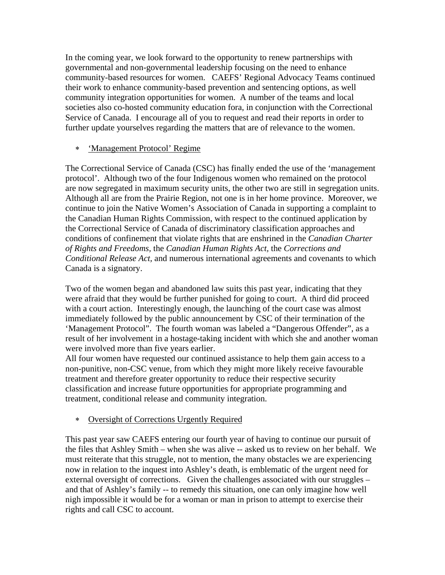In the coming year, we look forward to the opportunity to renew partnerships with governmental and non-governmental leadership focusing on the need to enhance community-based resources for women. CAEFS' Regional Advocacy Teams continued their work to enhance community-based prevention and sentencing options, as well community integration opportunities for women. A number of the teams and local societies also co-hosted community education fora, in conjunction with the Correctional Service of Canada. I encourage all of you to request and read their reports in order to further update yourselves regarding the matters that are of relevance to the women.

#### ∗ 'Management Protocol' Regime

The Correctional Service of Canada (CSC) has finally ended the use of the 'management protocol'. Although two of the four Indigenous women who remained on the protocol are now segregated in maximum security units, the other two are still in segregation units. Although all are from the Prairie Region, not one is in her home province. Moreover, we continue to join the Native Women's Association of Canada in supporting a complaint to the Canadian Human Rights Commission, with respect to the continued application by the Correctional Service of Canada of discriminatory classification approaches and conditions of confinement that violate rights that are enshrined in the *Canadian Charter of Rights and Freedoms,* the *Canadian Human Rights Act,* the *Corrections and Conditional Release Act,* and numerous international agreements and covenants to which Canada is a signatory.

Two of the women began and abandoned law suits this past year, indicating that they were afraid that they would be further punished for going to court. A third did proceed with a court action. Interestingly enough, the launching of the court case was almost immediately followed by the public announcement by CSC of their termination of the 'Management Protocol". The fourth woman was labeled a "Dangerous Offender", as a result of her involvement in a hostage-taking incident with which she and another woman were involved more than five years earlier.

All four women have requested our continued assistance to help them gain access to a non-punitive, non-CSC venue, from which they might more likely receive favourable treatment and therefore greater opportunity to reduce their respective security classification and increase future opportunities for appropriate programming and treatment, conditional release and community integration.

#### ∗ Oversight of Corrections Urgently Required

This past year saw CAEFS entering our fourth year of having to continue our pursuit of the files that Ashley Smith – when she was alive -- asked us to review on her behalf. We must reiterate that this struggle, not to mention, the many obstacles we are experiencing now in relation to the inquest into Ashley's death, is emblematic of the urgent need for external oversight of corrections. Given the challenges associated with our struggles – and that of Ashley's family -- to remedy this situation, one can only imagine how well nigh impossible it would be for a woman or man in prison to attempt to exercise their rights and call CSC to account.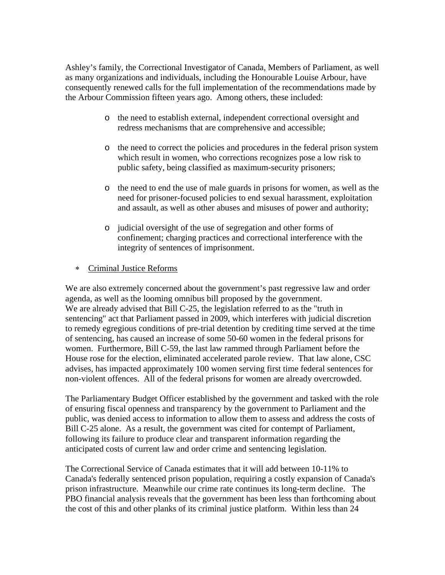Ashley's family, the Correctional Investigator of Canada, Members of Parliament, as well as many organizations and individuals, including the Honourable Louise Arbour, have consequently renewed calls for the full implementation of the recommendations made by the Arbour Commission fifteen years ago. Among others, these included:

- o the need to establish external, independent correctional oversight and redress mechanisms that are comprehensive and accessible;
- o the need to correct the policies and procedures in the federal prison system which result in women, who corrections recognizes pose a low risk to public safety, being classified as maximum-security prisoners;
- o the need to end the use of male guards in prisons for women, as well as the need for prisoner-focused policies to end sexual harassment, exploitation and assault, as well as other abuses and misuses of power and authority;
- o judicial oversight of the use of segregation and other forms of confinement; charging practices and correctional interference with the integrity of sentences of imprisonment.
- ∗ Criminal Justice Reforms

We are also extremely concerned about the government's past regressive law and order agenda, as well as the looming omnibus bill proposed by the government. We are already advised that Bill C-25, the legislation referred to as the "truth in sentencing" act that Parliament passed in 2009, which interferes with judicial discretion to remedy egregious conditions of pre-trial detention by crediting time served at the time of sentencing, has caused an increase of some 50-60 women in the federal prisons for women. Furthermore, Bill C-59, the last law rammed through Parliament before the House rose for the election, eliminated accelerated parole review. That law alone, CSC advises, has impacted approximately 100 women serving first time federal sentences for non-violent offences. All of the federal prisons for women are already overcrowded.

The Parliamentary Budget Officer established by the government and tasked with the role of ensuring fiscal openness and transparency by the government to Parliament and the public, was denied access to information to allow them to assess and address the costs of Bill C-25 alone. As a result, the government was cited for contempt of Parliament, following its failure to produce clear and transparent information regarding the anticipated costs of current law and order crime and sentencing legislation.

The Correctional Service of Canada estimates that it will add between 10-11% to Canada's federally sentenced prison population, requiring a costly expansion of Canada's prison infrastructure. Meanwhile our crime rate continues its long-term decline. The PBO financial analysis reveals that the government has been less than forthcoming about the cost of this and other planks of its criminal justice platform. Within less than 24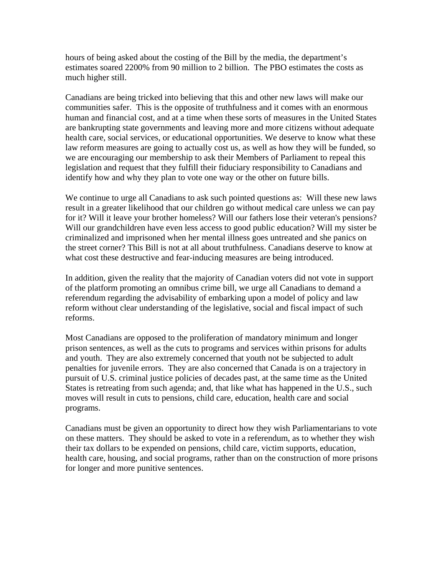hours of being asked about the costing of the Bill by the media, the department's estimates soared 2200% from 90 million to 2 billion. The PBO estimates the costs as much higher still.

Canadians are being tricked into believing that this and other new laws will make our communities safer. This is the opposite of truthfulness and it comes with an enormous human and financial cost, and at a time when these sorts of measures in the United States are bankrupting state governments and leaving more and more citizens without adequate health care, social services, or educational opportunities. We deserve to know what these law reform measures are going to actually cost us, as well as how they will be funded, so we are encouraging our membership to ask their Members of Parliament to repeal this legislation and request that they fulfill their fiduciary responsibility to Canadians and identify how and why they plan to vote one way or the other on future bills.

We continue to urge all Canadians to ask such pointed questions as: Will these new laws result in a greater likelihood that our children go without medical care unless we can pay for it? Will it leave your brother homeless? Will our fathers lose their veteran's pensions? Will our grandchildren have even less access to good public education? Will my sister be criminalized and imprisoned when her mental illness goes untreated and she panics on the street corner? This Bill is not at all about truthfulness. Canadians deserve to know at what cost these destructive and fear-inducing measures are being introduced.

In addition, given the reality that the majority of Canadian voters did not vote in support of the platform promoting an omnibus crime bill, we urge all Canadians to demand a referendum regarding the advisability of embarking upon a model of policy and law reform without clear understanding of the legislative, social and fiscal impact of such reforms.

Most Canadians are opposed to the proliferation of mandatory minimum and longer prison sentences, as well as the cuts to programs and services within prisons for adults and youth. They are also extremely concerned that youth not be subjected to adult penalties for juvenile errors. They are also concerned that Canada is on a trajectory in pursuit of U.S. criminal justice policies of decades past, at the same time as the United States is retreating from such agenda; and, that like what has happened in the U.S., such moves will result in cuts to pensions, child care, education, health care and social programs.

Canadians must be given an opportunity to direct how they wish Parliamentarians to vote on these matters. They should be asked to vote in a referendum, as to whether they wish their tax dollars to be expended on pensions, child care, victim supports, education, health care, housing, and social programs, rather than on the construction of more prisons for longer and more punitive sentences.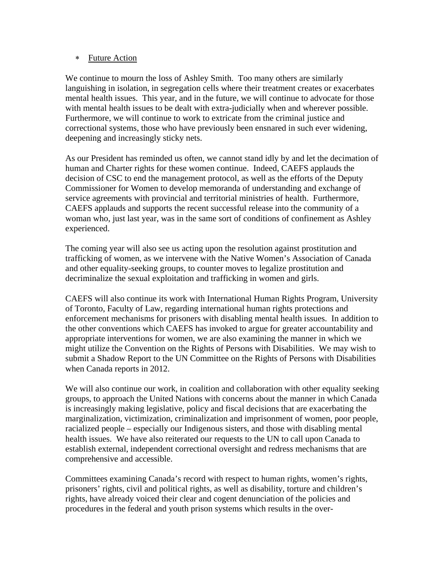#### ∗ Future Action

We continue to mourn the loss of Ashley Smith. Too many others are similarly languishing in isolation, in segregation cells where their treatment creates or exacerbates mental health issues. This year, and in the future, we will continue to advocate for those with mental health issues to be dealt with extra-judicially when and wherever possible. Furthermore, we will continue to work to extricate from the criminal justice and correctional systems, those who have previously been ensnared in such ever widening, deepening and increasingly sticky nets.

As our President has reminded us often, we cannot stand idly by and let the decimation of human and Charter rights for these women continue. Indeed, CAEFS applauds the decision of CSC to end the management protocol, as well as the efforts of the Deputy Commissioner for Women to develop memoranda of understanding and exchange of service agreements with provincial and territorial ministries of health. Furthermore, CAEFS applauds and supports the recent successful release into the community of a woman who, just last year, was in the same sort of conditions of confinement as Ashley experienced.

The coming year will also see us acting upon the resolution against prostitution and trafficking of women, as we intervene with the Native Women's Association of Canada and other equality-seeking groups, to counter moves to legalize prostitution and decriminalize the sexual exploitation and trafficking in women and girls.

CAEFS will also continue its work with International Human Rights Program, University of Toronto, Faculty of Law, regarding international human rights protections and enforcement mechanisms for prisoners with disabling mental health issues. In addition to the other conventions which CAEFS has invoked to argue for greater accountability and appropriate interventions for women, we are also examining the manner in which we might utilize the Convention on the Rights of Persons with Disabilities. We may wish to submit a Shadow Report to the UN Committee on the Rights of Persons with Disabilities when Canada reports in 2012.

We will also continue our work, in coalition and collaboration with other equality seeking groups, to approach the United Nations with concerns about the manner in which Canada is increasingly making legislative, policy and fiscal decisions that are exacerbating the marginalization, victimization, criminalization and imprisonment of women, poor people, racialized people – especially our Indigenous sisters, and those with disabling mental health issues. We have also reiterated our requests to the UN to call upon Canada to establish external, independent correctional oversight and redress mechanisms that are comprehensive and accessible.

Committees examining Canada's record with respect to human rights, women's rights, prisoners' rights, civil and political rights, as well as disability, torture and children's rights, have already voiced their clear and cogent denunciation of the policies and procedures in the federal and youth prison systems which results in the over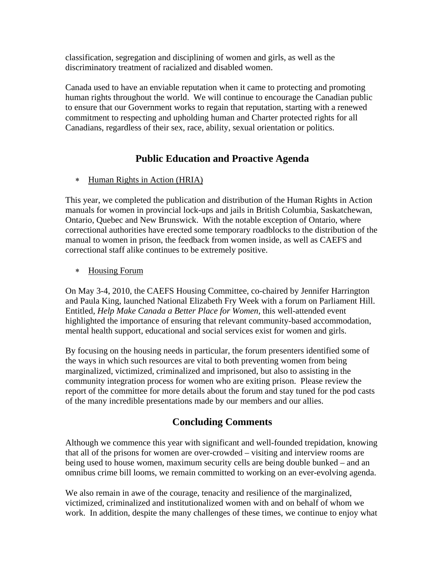classification, segregation and disciplining of women and girls, as well as the discriminatory treatment of racialized and disabled women.

Canada used to have an enviable reputation when it came to protecting and promoting human rights throughout the world. We will continue to encourage the Canadian public to ensure that our Government works to regain that reputation, starting with a renewed commitment to respecting and upholding human and Charter protected rights for all Canadians, regardless of their sex, race, ability, sexual orientation or politics.

#### **Public Education and Proactive Agenda**

∗ Human Rights in Action (HRIA)

This year, we completed the publication and distribution of the Human Rights in Action manuals for women in provincial lock-ups and jails in British Columbia, Saskatchewan, Ontario, Quebec and New Brunswick. With the notable exception of Ontario, where correctional authorities have erected some temporary roadblocks to the distribution of the manual to women in prison, the feedback from women inside, as well as CAEFS and correctional staff alike continues to be extremely positive.

#### ∗ Housing Forum

On May 3-4, 2010, the CAEFS Housing Committee, co-chaired by Jennifer Harrington and Paula King, launched National Elizabeth Fry Week with a forum on Parliament Hill. Entitled, *Help Make Canada a Better Place for Women,* this well-attended event highlighted the importance of ensuring that relevant community-based accommodation, mental health support, educational and social services exist for women and girls.

By focusing on the housing needs in particular, the forum presenters identified some of the ways in which such resources are vital to both preventing women from being marginalized, victimized, criminalized and imprisoned, but also to assisting in the community integration process for women who are exiting prison. Please review the report of the committee for more details about the forum and stay tuned for the pod casts of the many incredible presentations made by our members and our allies.

#### **Concluding Comments**

Although we commence this year with significant and well-founded trepidation, knowing that all of the prisons for women are over-crowded – visiting and interview rooms are being used to house women, maximum security cells are being double bunked – and an omnibus crime bill looms, we remain committed to working on an ever-evolving agenda.

We also remain in awe of the courage, tenacity and resilience of the marginalized, victimized, criminalized and institutionalized women with and on behalf of whom we work. In addition, despite the many challenges of these times, we continue to enjoy what